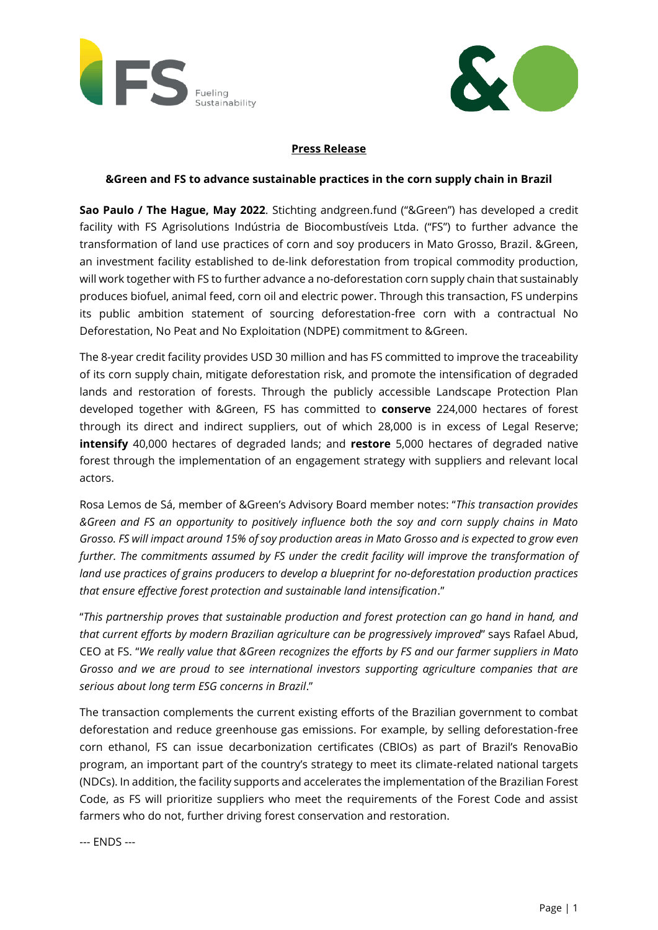



## **Press Release**

### **&Green and FS to advance sustainable practices in the corn supply chain in Brazil**

**Sao Paulo / The Hague, May 2022**. Stichting andgreen.fund ("&Green") has developed a credit facility with FS Agrisolutions Indústria de Biocombustíveis Ltda. ("FS") to further advance the transformation of land use practices of corn and soy producers in Mato Grosso, Brazil. &Green, an investment facility established to de-link deforestation from tropical commodity production, will work together with FS to further advance a no-deforestation corn supply chain that sustainably produces biofuel, animal feed, corn oil and electric power. Through this transaction, FS underpins its public ambition statement of sourcing deforestation-free corn with a contractual No Deforestation, No Peat and No Exploitation (NDPE) commitment to &Green.

The 8-year credit facility provides USD 30 million and has FS committed to improve the traceability of its corn supply chain, mitigate deforestation risk, and promote the intensification of degraded lands and restoration of forests. Through the publicly accessible Landscape Protection Plan developed together with &Green, FS has committed to **conserve** 224,000 hectares of forest through its direct and indirect suppliers, out of which 28,000 is in excess of Legal Reserve; **intensify** 40,000 hectares of degraded lands; and **restore** 5,000 hectares of degraded native forest through the implementation of an engagement strategy with suppliers and relevant local actors.

Rosa Lemos de Sá, member of &Green's Advisory Board member notes: "*This transaction provides &Green and FS an opportunity to positively influence both the soy and corn supply chains in Mato Grosso. FS will impact around 15% of soy production areas in Mato Grosso and is expected to grow even further. The commitments assumed by FS under the credit facility will improve the transformation of land use practices of grains producers to develop a blueprint for no-deforestation production practices that ensure effective forest protection and sustainable land intensification*."

"*This partnership proves that sustainable production and forest protection can go hand in hand, and that current efforts by modern Brazilian agriculture can be progressively improved*" says Rafael Abud, CEO at FS. "*We really value that &Green recognizes the efforts by FS and our farmer suppliers in Mato Grosso and we are proud to see international investors supporting agriculture companies that are serious about long term ESG concerns in Brazil*."

The transaction complements the current existing efforts of the Brazilian government to combat deforestation and reduce greenhouse gas emissions. For example, by selling deforestation-free corn ethanol, FS can issue decarbonization certificates (CBIOs) as part of Brazil's RenovaBio program, an important part of the country's strategy to meet its climate-related national targets (NDCs). In addition, the facility supports and accelerates the implementation of the Brazilian Forest Code, as FS will prioritize suppliers who meet the requirements of the Forest Code and assist farmers who do not, further driving forest conservation and restoration.

--- ENDS ---